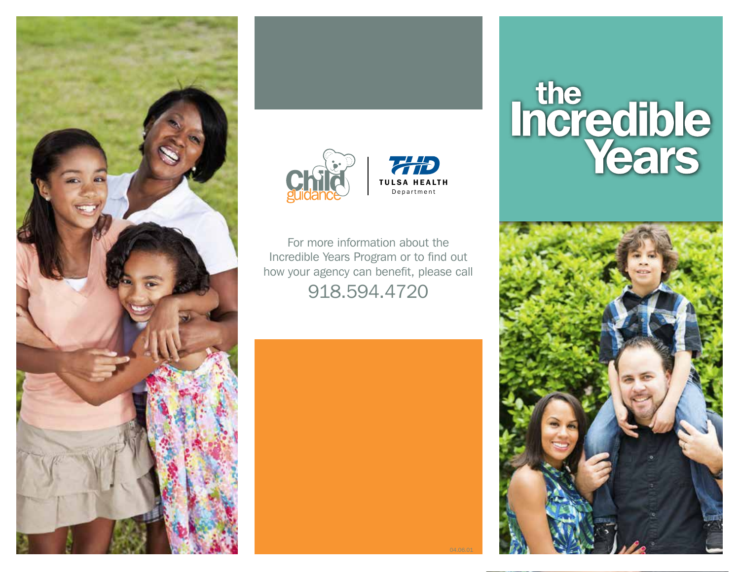





For more information about the Incredible Years Program or to find out how your agency can benefit, please call 918.594.4720



## the<br>Incredible<br>Years